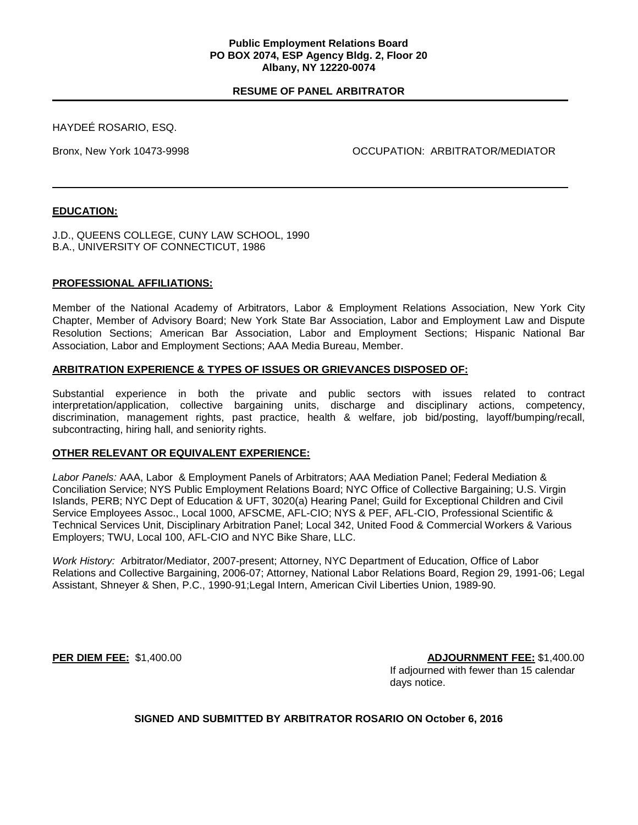#### **Public Employment Relations Board PO BOX 2074, ESP Agency Bldg. 2, Floor 20 Albany, NY 12220-0074**

# **RESUME OF PANEL ARBITRATOR**

HAYDEÉ ROSARIO, ESQ.

Bronx, New York 10473-9998 OCCUPATION: ARBITRATOR/MEDIATOR

# **EDUCATION:**

J.D., QUEENS COLLEGE, CUNY LAW SCHOOL, 1990 B.A., UNIVERSITY OF CONNECTICUT, 1986

## **PROFESSIONAL AFFILIATIONS:**

Member of the National Academy of Arbitrators, Labor & Employment Relations Association, New York City Chapter, Member of Advisory Board; New York State Bar Association, Labor and Employment Law and Dispute Resolution Sections; American Bar Association, Labor and Employment Sections; Hispanic National Bar Association, Labor and Employment Sections; AAA Media Bureau, Member.

## **ARBITRATION EXPERIENCE & TYPES OF ISSUES OR GRIEVANCES DISPOSED OF:**

Substantial experience in both the private and public sectors with issues related to contract interpretation/application, collective bargaining units, discharge and disciplinary actions, competency, discrimination, management rights, past practice, health & welfare, job bid/posting, layoff/bumping/recall, subcontracting, hiring hall, and seniority rights.

## **OTHER RELEVANT OR EQUIVALENT EXPERIENCE:**

*Labor Panels:* AAA, Labor & Employment Panels of Arbitrators; AAA Mediation Panel; Federal Mediation & Conciliation Service; NYS Public Employment Relations Board; NYC Office of Collective Bargaining; U.S. Virgin Islands, PERB; NYC Dept of Education & UFT, 3020(a) Hearing Panel; Guild for Exceptional Children and Civil Service Employees Assoc., Local 1000, AFSCME, AFL-CIO; NYS & PEF, AFL-CIO, Professional Scientific & Technical Services Unit, Disciplinary Arbitration Panel; Local 342, United Food & Commercial Workers & Various Employers; TWU, Local 100, AFL-CIO and NYC Bike Share, LLC.

*Work History:* Arbitrator/Mediator, 2007-present; Attorney, NYC Department of Education, Office of Labor Relations and Collective Bargaining, 2006-07; Attorney, National Labor Relations Board, Region 29, 1991-06; Legal Assistant, Shneyer & Shen, P.C., 1990-91;Legal Intern, American Civil Liberties Union, 1989-90.

**PER DIEM FEE:** \$1,400.00 **ADJOURNMENT FEE:** \$1,400.00 If adjourned with fewer than 15 calendar days notice.

**SIGNED AND SUBMITTED BY ARBITRATOR ROSARIO ON October 6, 2016**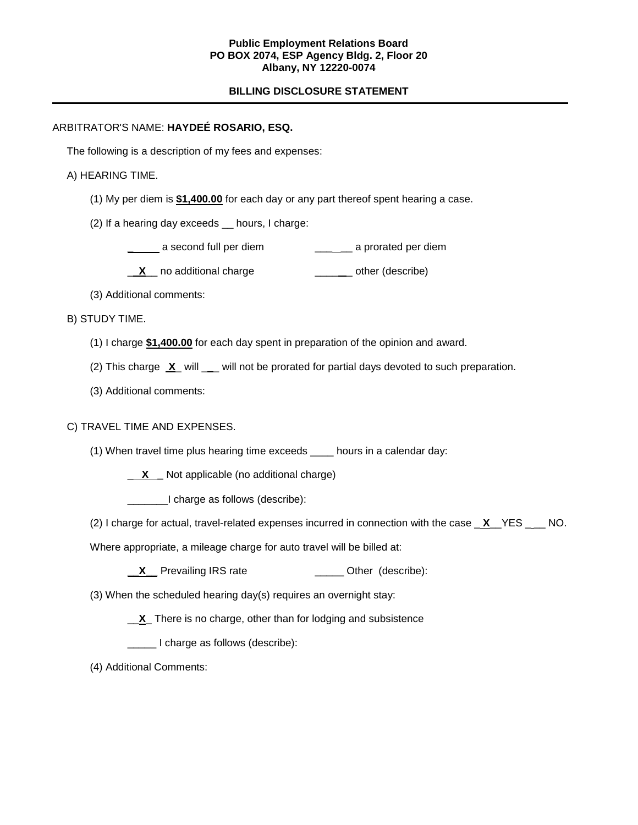## **Public Employment Relations Board PO BOX 2074, ESP Agency Bldg. 2, Floor 20 Albany, NY 12220-0074**

# **BILLING DISCLOSURE STATEMENT**

# ARBITRATOR'S NAME: **HAYDEÉ ROSARIO, ESQ.**

The following is a description of my fees and expenses:

#### A) HEARING TIME.

- (1) My per diem is **\$1,400.00** for each day or any part thereof spent hearing a case.
- (2) If a hearing day exceeds \_\_ hours, I charge:

**a** a second full per diem **a a** *\_\_\_\_\_* a prorated per diem

**X** no additional charge **William** Controllery control of the reservice

(3) Additional comments:

B) STUDY TIME.

- (1) I charge **\$1,400.00** for each day spent in preparation of the opinion and award.
- (2) This charge **X** will \_\_ will not be prorated for partial days devoted to such preparation.
- (3) Additional comments:

## C) TRAVEL TIME AND EXPENSES.

- (1) When travel time plus hearing time exceeds \_\_\_\_ hours in a calendar day:
	- \_ **X \_** Not applicable (no additional charge)

\_\_\_\_\_\_\_I charge as follows (describe):

(2) I charge for actual, travel-related expenses incurred in connection with the case \_ **X**\_\_YES \_ \_\_ NO.

Where appropriate, a mileage charge for auto travel will be billed at:

**\_\_X** Prevailing IRS rate \_\_\_\_\_\_\_\_\_\_\_\_\_\_ Other (describe):

(3) When the scheduled hearing day(s) requires an overnight stay:

\_\_**X**\_ There is no charge, other than for lodging and subsistence

\_\_\_\_\_ I charge as follows (describe):

(4) Additional Comments: